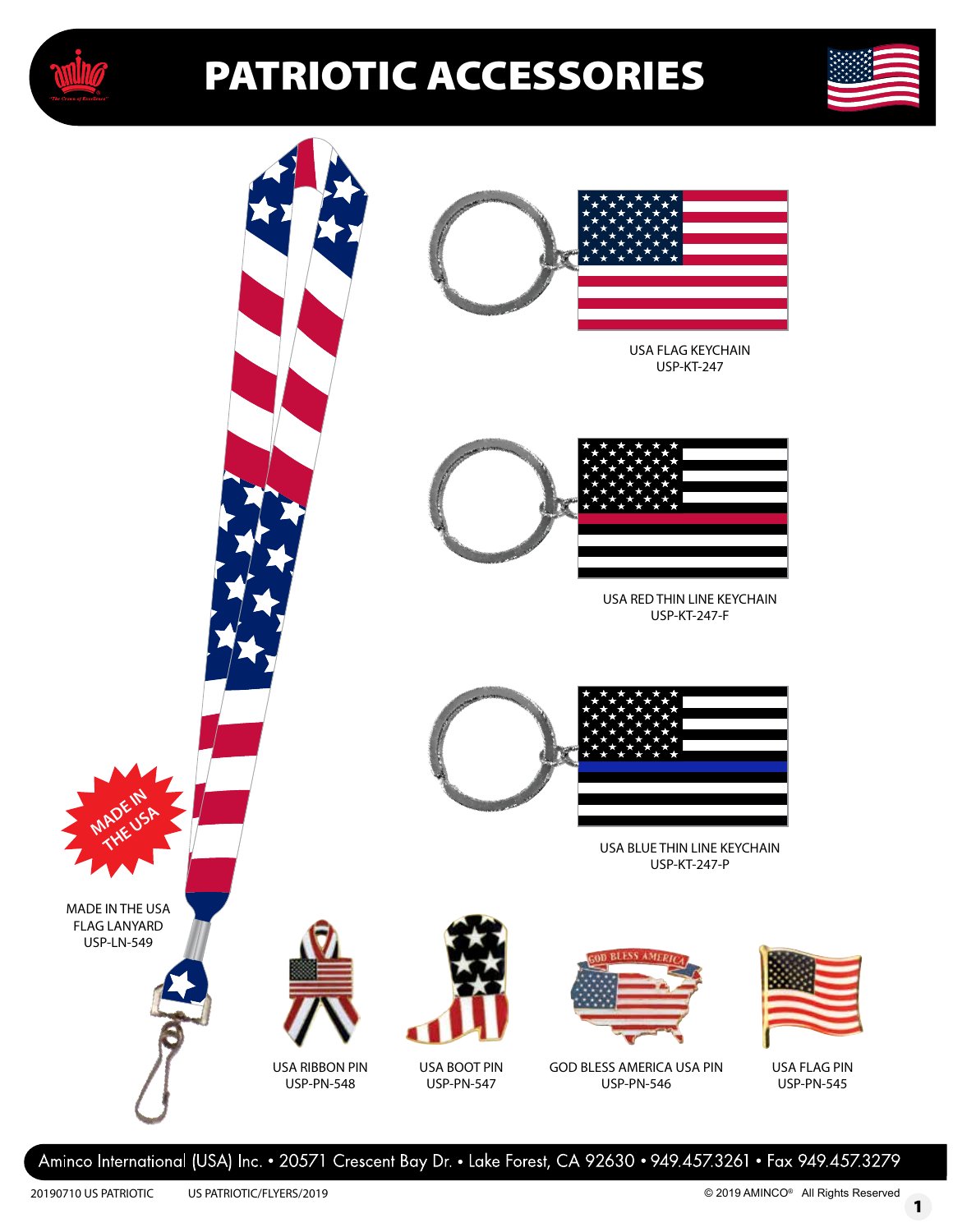





Aminco International (USA) Inc. • 20571 Crescent Bay Dr. • Lake Forest, CA 92630 • 949.457.3261 • Fax 949.457.3279

1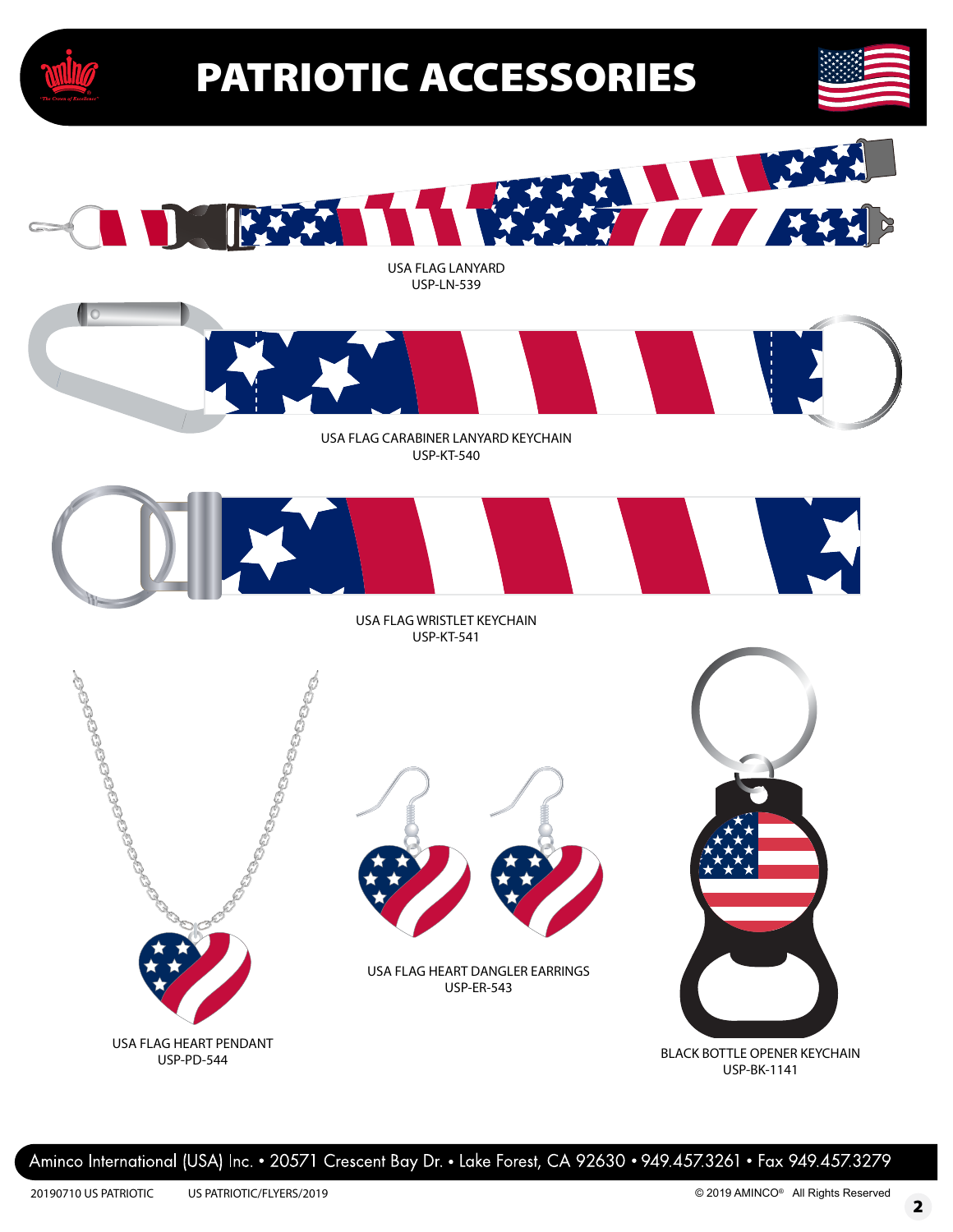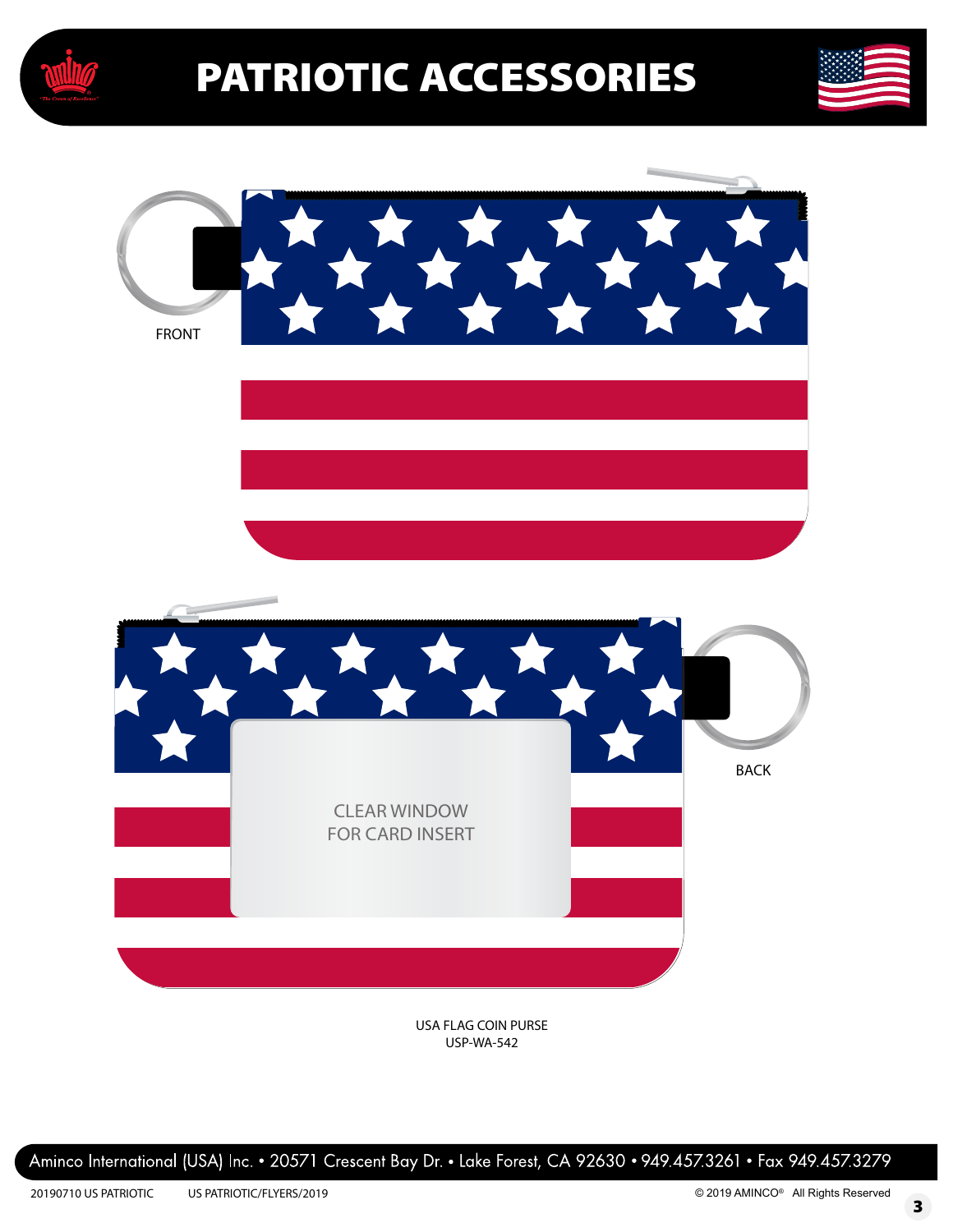





USA FLAG COIN PURSE USP-WA-542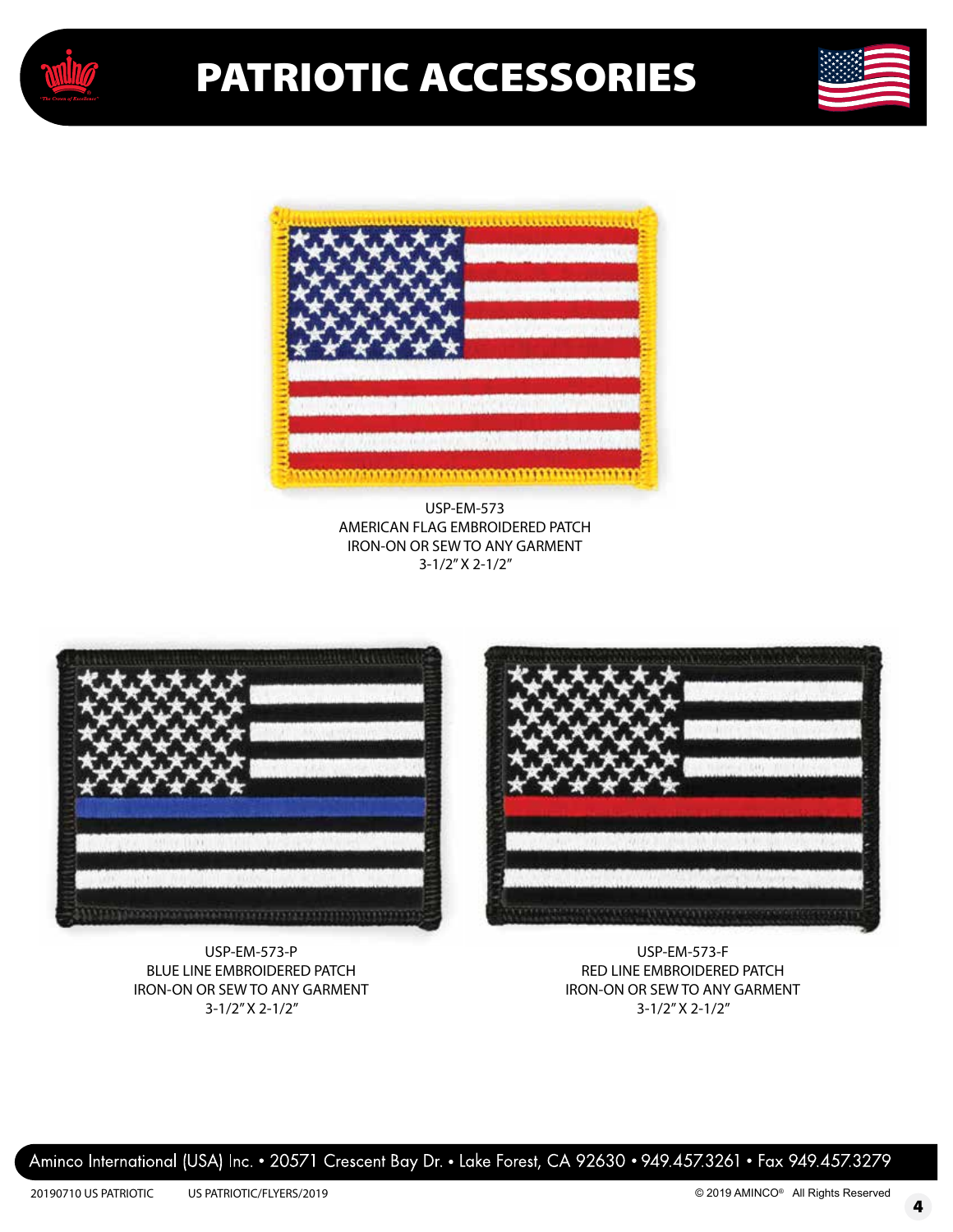





**USP-EM-573 AMERICAN FLAG EMBROIDERED PATCH IRON-ON OR SEW TO ANY GARMENT** 3-1/2" X 2-1/2"



**USP-EM-573-P BLUE LINE EMBROIDERED PATCH IRON-ON OR SEW TO ANY GARMENT** 3-1/2" X 2-1/2"



**USP-EM-573-F RED LINE EMBROIDERED PATCH IRON-ON OR SEW TO ANY GARMENT** 3-1/2" X 2-1/2"